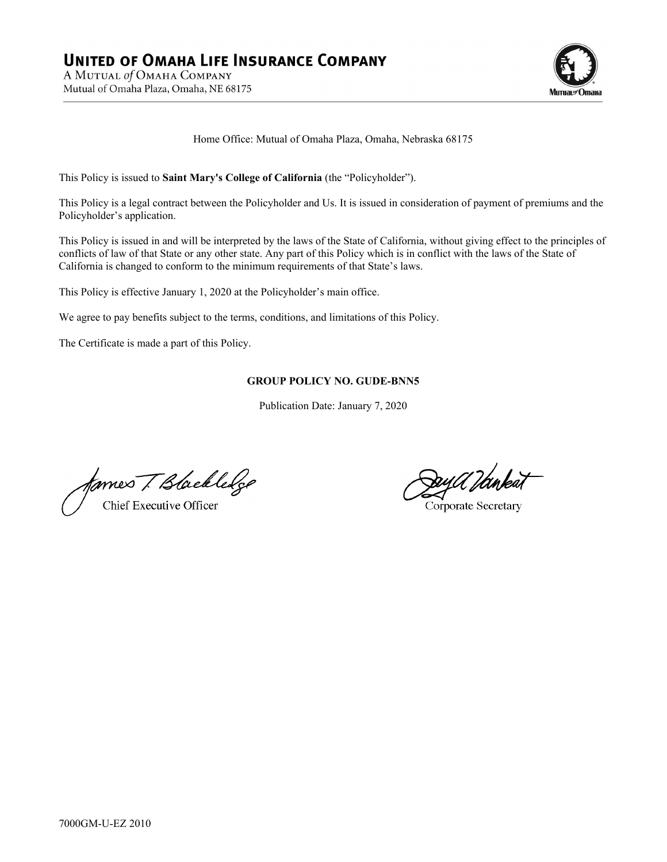

Home Office: Mutual of Omaha Plaza, Omaha, Nebraska 68175

This Policy is issued to **Saint Mary's College of California** (the "Policyholder").

This Policy is a legal contract between the Policyholder and Us. It is issued in consideration of payment of premiums and the Policyholder's application.

This Policy is issued in and will be interpreted by the laws of the State of California, without giving effect to the principles of conflicts of law of that State or any other state. Any part of this Policy which is in conflict with the laws of the State of California is changed to conform to the minimum requirements of that State's laws.

This Policy is effective January 1, 2020 at the Policyholder's main office.

We agree to pay benefits subject to the terms, conditions, and limitations of this Policy.

The Certificate is made a part of this Policy.

## **GROUP POLICY NO. GUDE-BNN5**

Publication Date: January 7, 2020

fames T. Blackledge Chief Executive Officer

<del>D</del>ayU Iankat

Corporate Secretary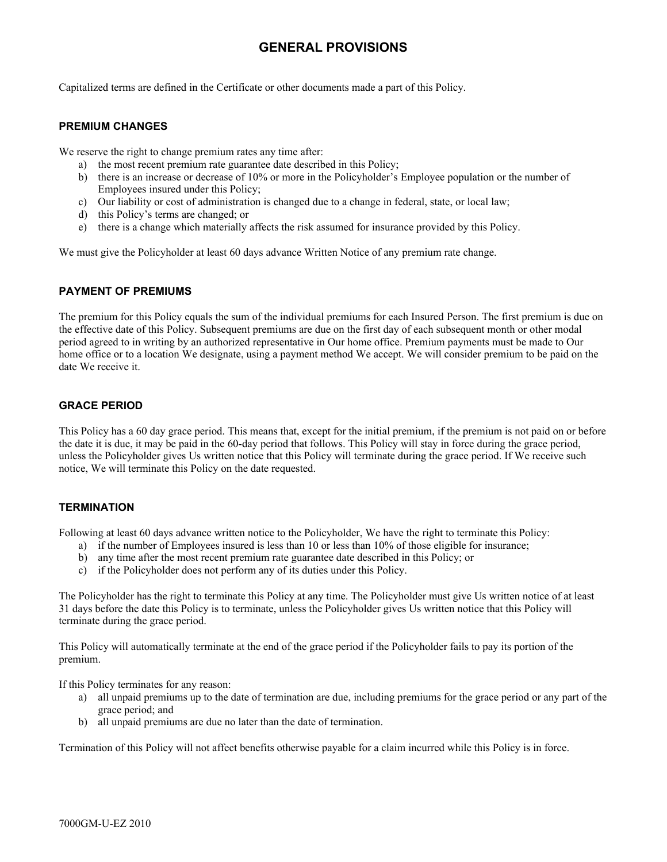# **GENERAL PROVISIONS**

Capitalized terms are defined in the Certificate or other documents made a part of this Policy.

## **PREMIUM CHANGES**

We reserve the right to change premium rates any time after:

- a) the most recent premium rate guarantee date described in this Policy;
- b) there is an increase or decrease of 10% or more in the Policyholder's Employee population or the number of Employees insured under this Policy;
- c) Our liability or cost of administration is changed due to a change in federal, state, or local law;
- d) this Policy's terms are changed; or
- e) there is a change which materially affects the risk assumed for insurance provided by this Policy.

We must give the Policyholder at least 60 days advance Written Notice of any premium rate change.

## **PAYMENT OF PREMIUMS**

The premium for this Policy equals the sum of the individual premiums for each Insured Person. The first premium is due on the effective date of this Policy. Subsequent premiums are due on the first day of each subsequent month or other modal period agreed to in writing by an authorized representative in Our home office. Premium payments must be made to Our home office or to a location We designate, using a payment method We accept. We will consider premium to be paid on the date We receive it.

## **GRACE PERIOD**

This Policy has a 60 day grace period. This means that, except for the initial premium, if the premium is not paid on or before the date it is due, it may be paid in the 60-day period that follows. This Policy will stay in force during the grace period, unless the Policyholder gives Us written notice that this Policy will terminate during the grace period. If We receive such notice, We will terminate this Policy on the date requested.

## **TERMINATION**

Following at least 60 days advance written notice to the Policyholder, We have the right to terminate this Policy:

- a) if the number of Employees insured is less than 10 or less than 10% of those eligible for insurance;
- b) any time after the most recent premium rate guarantee date described in this Policy; or
- c) if the Policyholder does not perform any of its duties under this Policy.

The Policyholder has the right to terminate this Policy at any time. The Policyholder must give Us written notice of at least 31 days before the date this Policy is to terminate, unless the Policyholder gives Us written notice that this Policy will terminate during the grace period.

This Policy will automatically terminate at the end of the grace period if the Policyholder fails to pay its portion of the premium.

If this Policy terminates for any reason:

- a) all unpaid premiums up to the date of termination are due, including premiums for the grace period or any part of the grace period; and
- b) all unpaid premiums are due no later than the date of termination.

Termination of this Policy will not affect benefits otherwise payable for a claim incurred while this Policy is in force.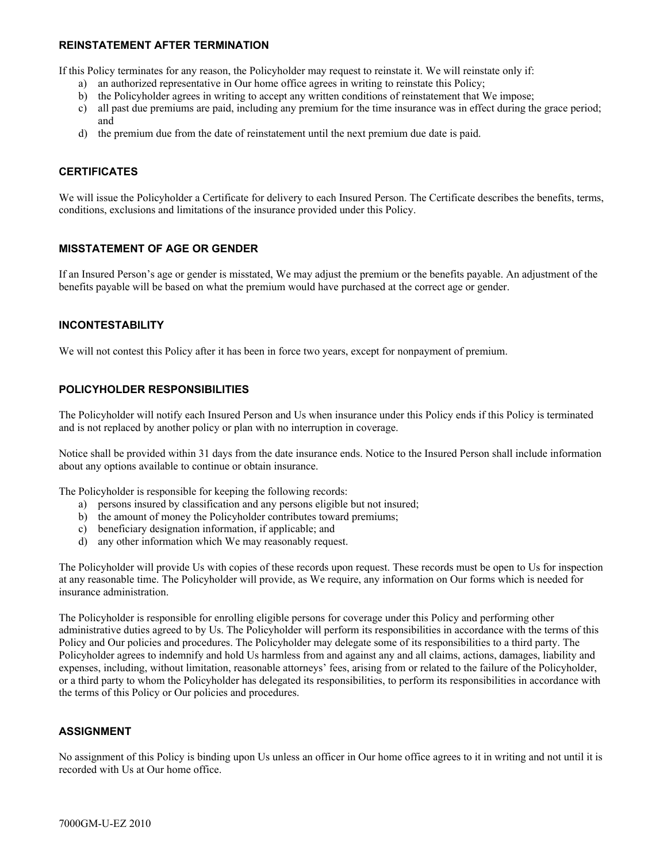## **REINSTATEMENT AFTER TERMINATION**

If this Policy terminates for any reason, the Policyholder may request to reinstate it. We will reinstate only if:

- a) an authorized representative in Our home office agrees in writing to reinstate this Policy;
- b) the Policyholder agrees in writing to accept any written conditions of reinstatement that We impose;
- c) all past due premiums are paid, including any premium for the time insurance was in effect during the grace period; and
- d) the premium due from the date of reinstatement until the next premium due date is paid.

## **CERTIFICATES**

We will issue the Policyholder a Certificate for delivery to each Insured Person. The Certificate describes the benefits, terms, conditions, exclusions and limitations of the insurance provided under this Policy.

## **MISSTATEMENT OF AGE OR GENDER**

If an Insured Person's age or gender is misstated, We may adjust the premium or the benefits payable. An adjustment of the benefits payable will be based on what the premium would have purchased at the correct age or gender.

## **INCONTESTABILITY**

We will not contest this Policy after it has been in force two years, except for nonpayment of premium.

## **POLICYHOLDER RESPONSIBILITIES**

The Policyholder will notify each Insured Person and Us when insurance under this Policy ends if this Policy is terminated and is not replaced by another policy or plan with no interruption in coverage.

Notice shall be provided within 31 days from the date insurance ends. Notice to the Insured Person shall include information about any options available to continue or obtain insurance.

The Policyholder is responsible for keeping the following records:

- a) persons insured by classification and any persons eligible but not insured;
- b) the amount of money the Policyholder contributes toward premiums;
- c) beneficiary designation information, if applicable; and
- d) any other information which We may reasonably request.

The Policyholder will provide Us with copies of these records upon request. These records must be open to Us for inspection at any reasonable time. The Policyholder will provide, as We require, any information on Our forms which is needed for insurance administration.

The Policyholder is responsible for enrolling eligible persons for coverage under this Policy and performing other administrative duties agreed to by Us. The Policyholder will perform its responsibilities in accordance with the terms of this Policy and Our policies and procedures. The Policyholder may delegate some of its responsibilities to a third party. The Policyholder agrees to indemnify and hold Us harmless from and against any and all claims, actions, damages, liability and expenses, including, without limitation, reasonable attorneys' fees, arising from or related to the failure of the Policyholder, or a third party to whom the Policyholder has delegated its responsibilities, to perform its responsibilities in accordance with the terms of this Policy or Our policies and procedures.

## **ASSIGNMENT**

No assignment of this Policy is binding upon Us unless an officer in Our home office agrees to it in writing and not until it is recorded with Us at Our home office.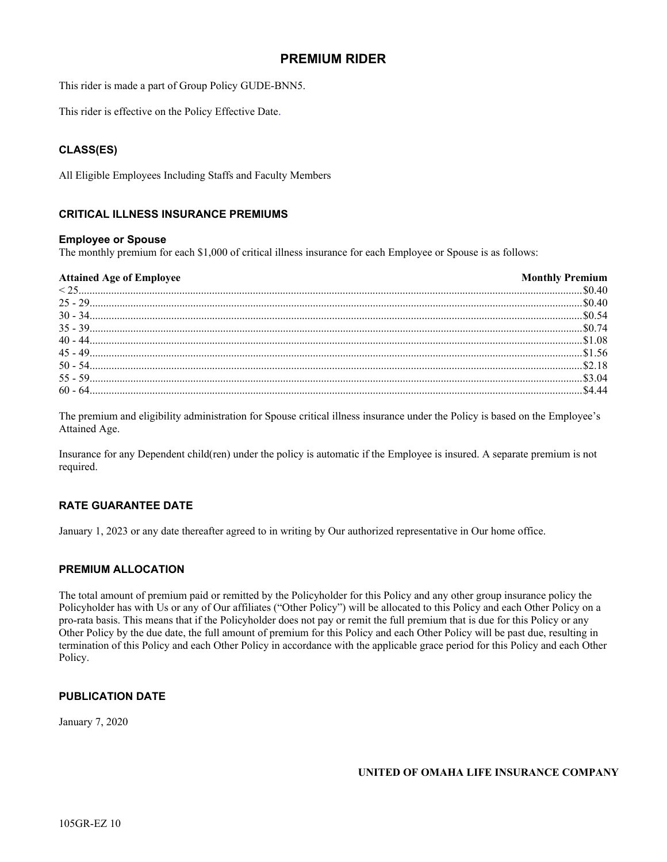## **PREMIUM RIDER**

This rider is made a part of Group Policy GUDE-BNN5.

This rider is effective on the Policy Effective Date.

## **CLASS(ES)**

All Eligible Employees Including Staffs and Faculty Members

## **CRITICAL ILLNESS INSURANCE PREMIUMS**

#### **Employee or Spouse**

The monthly premium for each \$1,000 of critical illness insurance for each Employee or Spouse is as follows:

| <b>Attained Age of Employee</b> | <b>Monthly Premium</b> |
|---------------------------------|------------------------|
| 11325                           |                        |
|                                 |                        |
|                                 |                        |
|                                 |                        |
|                                 |                        |
|                                 |                        |
|                                 |                        |
|                                 |                        |
|                                 |                        |

The premium and eligibility administration for Spouse critical illness insurance under the Policy is based on the Employee's Attained Age.

Insurance for any Dependent child(ren) under the policy is automatic if the Employee is insured. A separate premium is not required.

## **RATE GUARANTEE DATE**

January 1, 2023 or any date thereafter agreed to in writing by Our authorized representative in Our home office.

## **PREMIUM ALLOCATION**

The total amount of premium paid or remitted by the Policyholder for this Policy and any other group insurance policy the Policyholder has with Us or any of Our affiliates ("Other Policy") will be allocated to this Policy and each Other Policy on a pro-rata basis. This means that if the Policyholder does not pay or remit the full premium that is due for this Policy or any Other Policy by the due date, the full amount of premium for this Policy and each Other Policy will be past due, resulting in termination of this Policy and each Other Policy in accordance with the applicable grace period for this Policy and each Other Policy.

## **PUBLICATION DATE**

January 7, 2020

**UNITED OF OMAHA LIFE INSURANCE COMPANY**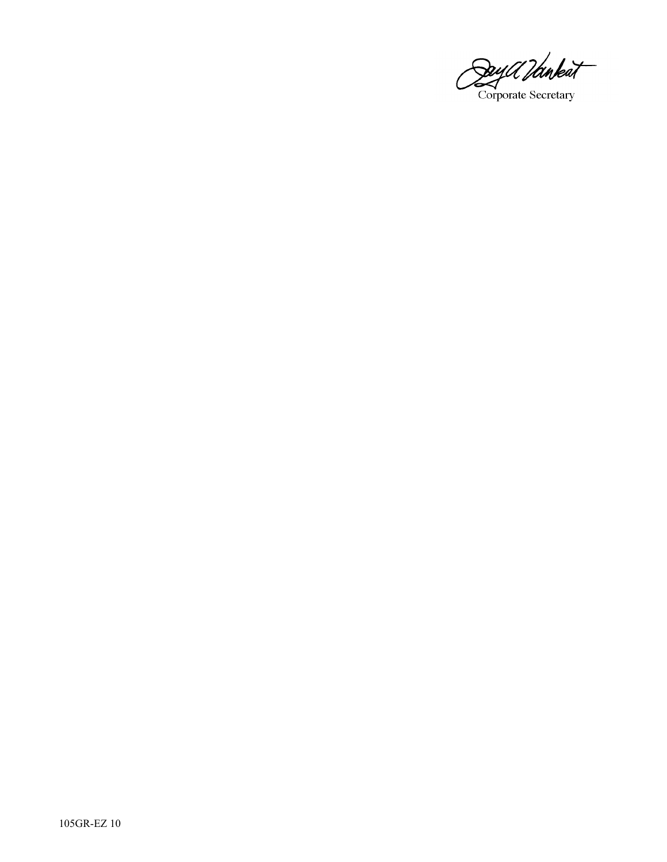Day Ulmbat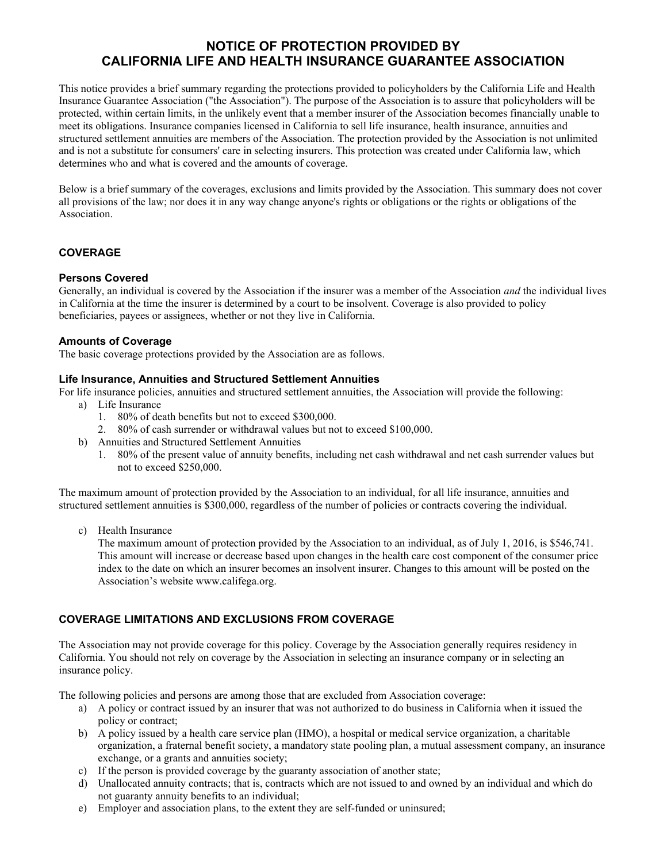## **NOTICE OF PROTECTION PROVIDED BY CALIFORNIA LIFE AND HEALTH INSURANCE GUARANTEE ASSOCIATION**

This notice provides a brief summary regarding the protections provided to policyholders by the California Life and Health Insurance Guarantee Association ("the Association"). The purpose of the Association is to assure that policyholders will be protected, within certain limits, in the unlikely event that a member insurer of the Association becomes financially unable to meet its obligations. Insurance companies licensed in California to sell life insurance, health insurance, annuities and structured settlement annuities are members of the Association. The protection provided by the Association is not unlimited and is not a substitute for consumers' care in selecting insurers. This protection was created under California law, which determines who and what is covered and the amounts of coverage.

Below is a brief summary of the coverages, exclusions and limits provided by the Association. This summary does not cover all provisions of the law; nor does it in any way change anyone's rights or obligations or the rights or obligations of the Association.

## **COVERAGE**

## **Persons Covered**

Generally, an individual is covered by the Association if the insurer was a member of the Association *and* the individual lives in California at the time the insurer is determined by a court to be insolvent. Coverage is also provided to policy beneficiaries, payees or assignees, whether or not they live in California.

## **Amounts of Coverage**

The basic coverage protections provided by the Association are as follows.

## **Life Insurance, Annuities and Structured Settlement Annuities**

For life insurance policies, annuities and structured settlement annuities, the Association will provide the following:

- a) Life Insurance
	- 1. 80% of death benefits but not to exceed \$300,000.
	- 2. 80% of cash surrender or withdrawal values but not to exceed \$100,000.
- b) Annuities and Structured Settlement Annuities
	- 1. 80% of the present value of annuity benefits, including net cash withdrawal and net cash surrender values but not to exceed \$250,000.

The maximum amount of protection provided by the Association to an individual, for all life insurance, annuities and structured settlement annuities is \$300,000, regardless of the number of policies or contracts covering the individual.

c) Health Insurance

The maximum amount of protection provided by the Association to an individual, as of July 1, 2016, is \$546,741. This amount will increase or decrease based upon changes in the health care cost component of the consumer price index to the date on which an insurer becomes an insolvent insurer. Changes to this amount will be posted on the Association's website www.califega.org.

## **COVERAGE LIMITATIONS AND EXCLUSIONS FROM COVERAGE**

The Association may not provide coverage for this policy. Coverage by the Association generally requires residency in California. You should not rely on coverage by the Association in selecting an insurance company or in selecting an insurance policy.

The following policies and persons are among those that are excluded from Association coverage:

- a) A policy or contract issued by an insurer that was not authorized to do business in California when it issued the policy or contract;
- b) A policy issued by a health care service plan (HMO), a hospital or medical service organization, a charitable organization, a fraternal benefit society, a mandatory state pooling plan, a mutual assessment company, an insurance exchange, or a grants and annuities society;
- c) If the person is provided coverage by the guaranty association of another state;
- d) Unallocated annuity contracts; that is, contracts which are not issued to and owned by an individual and which do not guaranty annuity benefits to an individual;
- e) Employer and association plans, to the extent they are self-funded or uninsured;